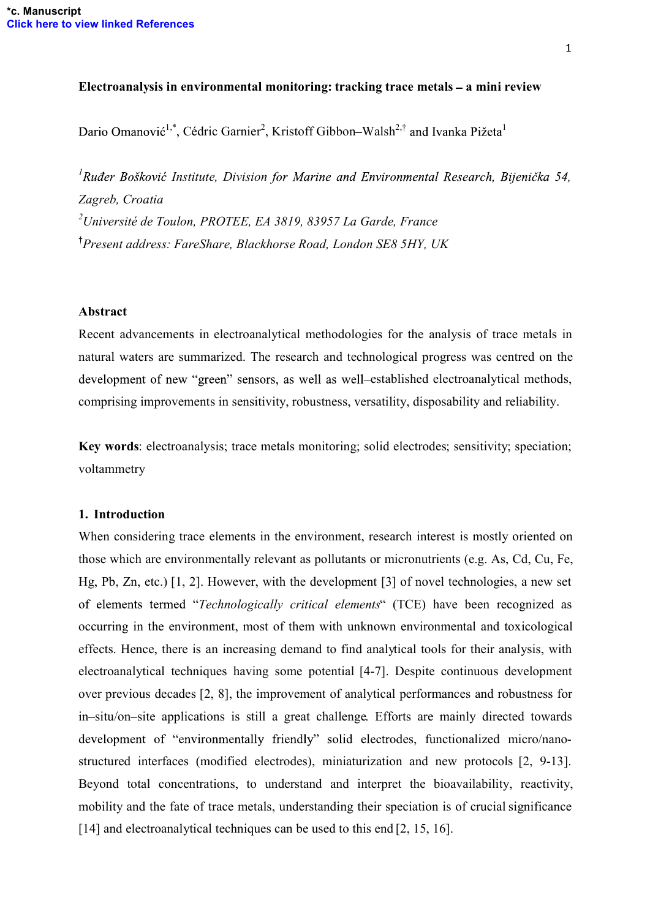### Electroanalysis in environmental monitoring: tracking trace metals  $-$  a mini review

<sup>1,\*</sup>, Cédric Garnier<sup>2</sup>, Kristoff Gibbon–Walsh<sup>2,†</sup> and Ivanka Pižeta<sup>1</sup>

<sup>1</sup> Ruđer Bošković Institute, Division Zagreb, Croatia  $^{2}$ Université de Toulon, PROTEE, EA 3819, 83957 La Garde, France <sup>†</sup> Present address: FareShare, Blackhorse Road, London SE8 5HY, UK

#### Abstract

Recent advancements in electroanalytical methodologies for the analysis of trace metals in natural waters are summarized. The research and technological progress was centred on the development of new "green" sensors, as well as well-established electroanalytical methods, comprising improvements in sensitivity, robustness, versatility, disposability and reliability.

Key words: electroanalysis; trace metals monitoring; solid electrodes; sensitivity; speciation; voltammetry

### 1. Introduction

When considering trace elements in the environment, research interest is mostly oriented on those which are environmentally relevant as pollutants or micronutrients (e.g. As, Cd, Cu, Fe, Hg, Pb, Zn, etc.) [1, 2]. However, with the development [3] of novel technologies, a new set of elements termed "Technologically critical elements" (TCE) have been recognized as occurring in the environment, most of them with unknown environmental and toxicological effects. Hence, there is an increasing demand to find analytical tools for their analysis, with electroanalytical techniques having some potential [4-7]. Despite continuous development over previous decades [2, 8], the improvement of analytical performances and robustness for in-situ/on-site applications is still a great challenge. Efforts are mainly directed towards development of "environmentally friendly" solid electrodes, functionalized micro/nanostructured interfaces (modified electrodes), miniaturization and new protocols [2, 9-13]. Beyond total concentrations, to understand and interpret the bioavailability, reactivity, mobility and the fate of trace metals, understanding their speciation is of crucial significance [14] and electroanalytical techniques can be used to this end [2, 15, 16].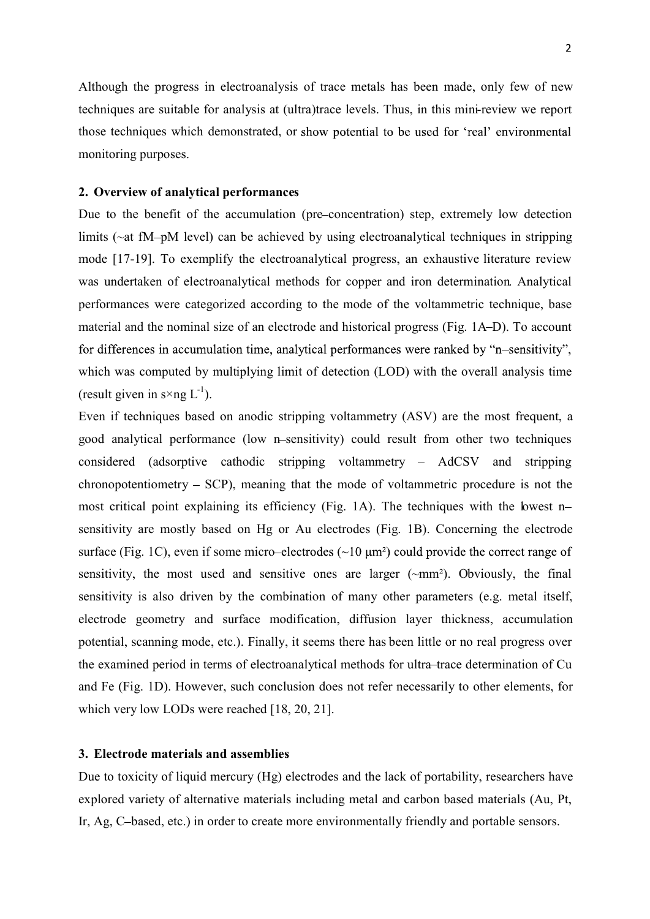Although the progress in electroanalysis of trace metals has been made, only few of new techniques are suitable for analysis at (ultra)trace levels. Thus, in this mini-review we report those techniques which demonstrated, or show potential to be used for 'real' environmental monitoring purposes.

#### 2. Overview of analytical performances

Due to the benefit of the accumulation (pre-concentration) step, extremely low detection limits ( $\sim$ at fM-pM level) can be achieved by using electroanalytical techniques in stripping mode [17-19]. To exemplify the electroanalytical progress, an exhaustive literature review was undertaken of electroanalytical methods for copper and iron determination. Analytical performances were categorized according to the mode of the voltammetric technique, base material and the nominal size of an electrode and historical progress (Fig. 1A–D). To account for differences in accumulation time, analytical performances were ranked by "n-sensitivity", which was computed by multiplying limit of detection (LOD) with the overall analysis time (result given in  $s \times ng L^{-1}$ ).

Even if techniques based on anodic stripping voltammetry (ASV) are the most frequent, a good analytical performance (low n-sensitivity) could result from other two techniques considered (adsorptive cathodic stripping voltammetry – AdCSV and stripping  $\alpha$ chronopotentiometry  $-$  SCP), meaning that the mode of voltammetric procedure is not the most critical point explaining its efficiency (Fig. 1A). The techniques with the lowest n sensitivity are mostly based on Hg or Au electrodes (Fig. 1B). Concerning the electrode surface (Fig. 1C), even if some micro-electrodes  $(\sim 10 \text{ µm}^2)$  could provide the correct range of sensitivity, the most used and sensitive ones are larger (~mm²). Obviously, the final sensitivity is also driven by the combination of many other parameters (e.g. metal itself, electrode geometry and surface modification, diffusion layer thickness, accumulation potential, scanning mode, etc.). Finally, it seems there has been little or no real progress over the examined period in terms of electroanalytical methods for ultra-trace determination of Cu and Fe (Fig. 1D). However, such conclusion does not refer necessarily to other elements, for which very low LODs were reached [18, 20, 21].

#### 3. Electrode materials and assemblies

Due to toxicity of liquid mercury (Hg) electrodes and the lack of portability, researchers have explored variety of alternative materials including metal and carbon based materials (Au, Pt, Ir, Ag, C-based, etc.) in order to create more environmentally friendly and portable sensors.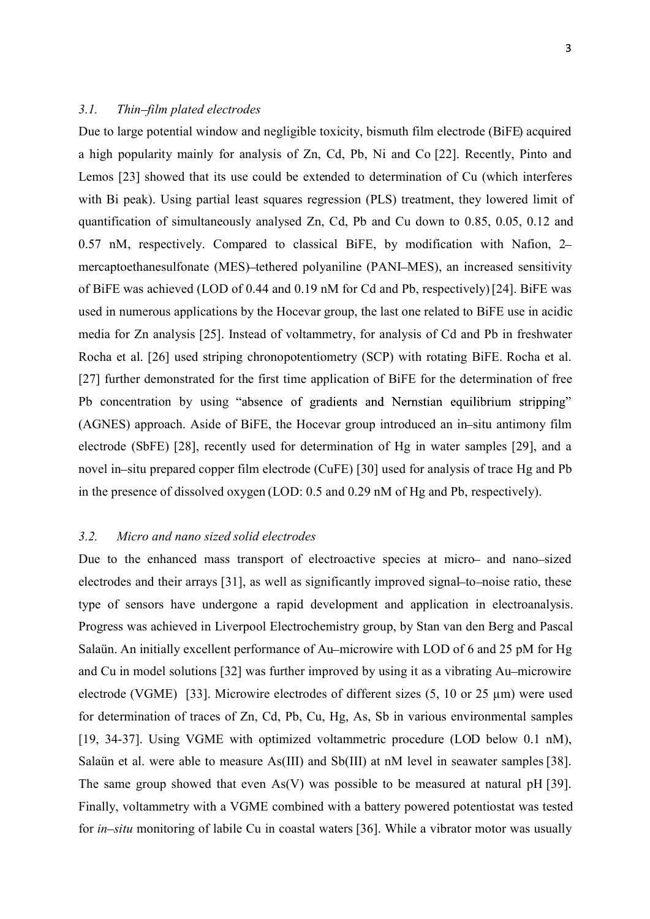## 3.1. Thin-film plated electrodes

Due to large potential window and negligible toxicity, bismuth film electrode (BiFE) acquired a high popularity mainly for analysis of Zn, Cd, Pb, Ni and Co [22]. Recently, Pinto and Lemos [23] showed that its use could be extended to determination of Cu (which interferes with Bi peak). Using partial least squares regression (PLS) treatment, they lowered limit of quantification of simultaneously analysed Zn, Cd, Pb and Cu down to 0.85, 0.05, 0.12 and 0.57 nM, respectively. Compared to classical BiFE, by modification with Nafion, 2 mercaptoethanesulfonate (MES)-tethered polyaniline (PANI–MES), an increased sensitivity of BiFE was achieved (LOD of 0.44 and 0.19 nM for Cd and Pb, respectively) [24]. BiFE was used in numerous applications by the Hocevar group, the last one related to BiFE use in acidic media for Zn analysis [25]. Instead of voltammetry, for analysis of Cd and Pb in freshwater Rocha et al. [26] used striping chronopotentiometry (SCP) with rotating BiFE. Rocha et al. [27] further demonstrated for the first time application of BiFE for the determination of free Pb concentration by using "absence of gradients and Nernstian equilibrium stripping" (AGNES) approach. Aside of BiFE, the Hocevar group introduced an in-situ antimony film electrode (SbFE) [28], recently used for determination of Hg in water samples [29], and a novel in-situ prepared copper film electrode (CuFE) [30] used for analysis of trace Hg and Pb in the presence of dissolved oxygen (LOD: 0.5 and 0.29 nM of Hg and Pb, respectively).

### 3.2. Micro and nano sized solid electrodes

Due to the enhanced mass transport of electroactive species at micro- and nano-sized electrodes and their arrays [31], as well as significantly improved signal-to-noise ratio, these type of sensors have undergone a rapid development and application in electroanalysis. Progress was achieved in Liverpool Electrochemistry group, by Stan van den Berg and Pascal Salaün. An initially excellent performance of Au-microwire with LOD of 6 and 25 pM for Hg and Cu in model solutions [32] was further improved by using it as a vibrating Au-microwire electrode (VGME) [33]. Microwire electrodes of different sizes (5, 10 or 25 µm) were used for determination of traces of Zn, Cd, Pb, Cu, Hg, As, Sb in various environmental samples [19, 34-37]. Using VGME with optimized voltammetric procedure (LOD below 0.1 nM), Salaün et al. were able to measure As(III) and Sb(III) at nM level in seawater samples [38]. The same group showed that even As(V) was possible to be measured at natural pH [39]. Finally, voltammetry with a VGME combined with a battery powered potentiostat was tested for *in–situ* monitoring of labile Cu in coastal waters [36]. While a vibrator motor was usually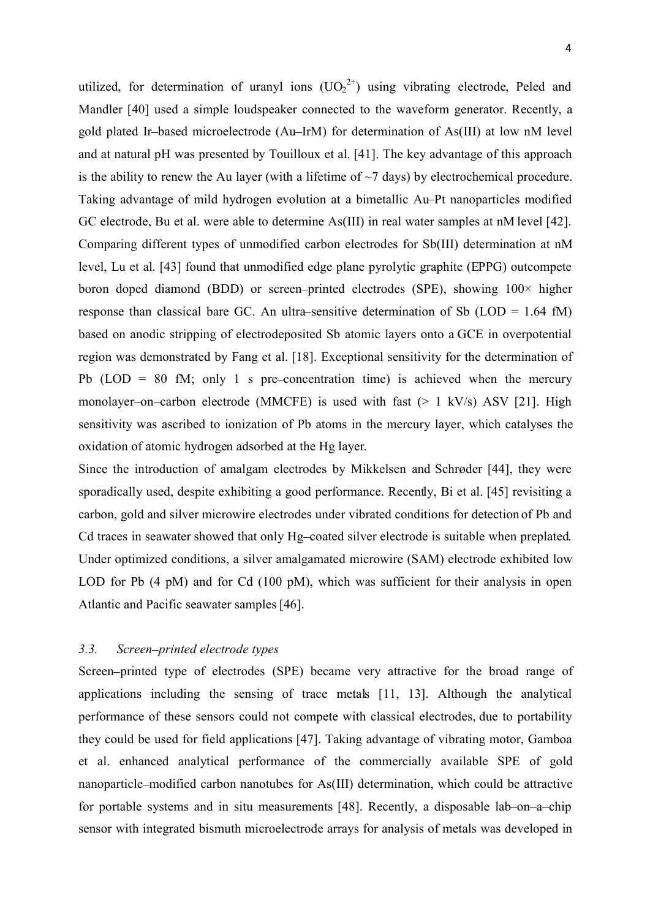utilized, for determination of uranyl ions  $(UO_2^{2+})$  using vibrating electrode, Peled and Mandler [40] used a simple loudspeaker connected to the waveform generator. Recently, a gold plated Ir-based microelectrode (Au-IrM) for determination of As(III) at low nM level and at natural pH was presented by Touilloux et al. [41]. The key advantage of this approach is the ability to renew the Au layer (with a lifetime of  $\sim$ 7 days) by electrochemical procedure. Taking advantage of mild hydrogen evolution at a bimetallic Au–Pt nanoparticles modified GC electrode, Bu et al. were able to determine As(III) in real water samples at nM level [42]. Comparing different types of unmodified carbon electrodes for Sb(III) determination at nM level, Lu et al. [43] found that unmodified edge plane pyrolytic graphite (EPPG) outcompete boron doped diamond (BDD) or screen-printed electrodes (SPE), showing  $100 \times$  higher response than classical bare GC. An ultra-sensitive determination of Sb ( $LOD = 1.64$  fM) based on anodic stripping of electrodeposited Sb atomic layers onto a GCE in overpotential region was demonstrated by Fang et al. [18]. Exceptional sensitivity for the determination of Pb (LOD = 80 fM; only 1 s pre-concentration time) is achieved when the mercury monolayer-on-carbon electrode (MMCFE) is used with fast  $(> 1 \text{ kV/s})$  ASV [21]. High sensitivity was ascribed to ionization of Pb atoms in the mercury layer, which catalyses the oxidation of atomic hydrogen adsorbed at the Hg layer.

Since the introduction of amalgam electrodes by Mikkelsen and Schrøder [44], they were sporadically used, despite exhibiting a good performance. Recently, Bi et al. [45] revisiting a carbon, gold and silver microwire electrodes under vibrated conditions for detection of Pb and Cd traces in seawater showed that only Hg-coated silver electrode is suitable when preplated. Under optimized conditions, a silver amalgamated microwire (SAM) electrode exhibited low LOD for Pb (4 pM) and for Cd (100 pM), which was sufficient for their analysis in open Atlantic and Pacific seawater samples [46].

### 3.3. Screen-printed electrode types

Screen printed type of electrodes (SPE) became very attractive for the broad range of applications including the sensing of trace metals [11, 13]. Although the analytical performance of these sensors could not compete with classical electrodes, due to portability they could be used for field applications [47]. Taking advantage of vibrating motor, Gamboa et al. enhanced analytical performance of the commercially available SPE of gold nanoparticle modified carbon nanotubes for As(III) determination, which could be attractive for portable systems and in situ measurements [48]. Recently, a disposable lab-on-a-chip sensor with integrated bismuth microelectrode arrays for analysis of metals was developed in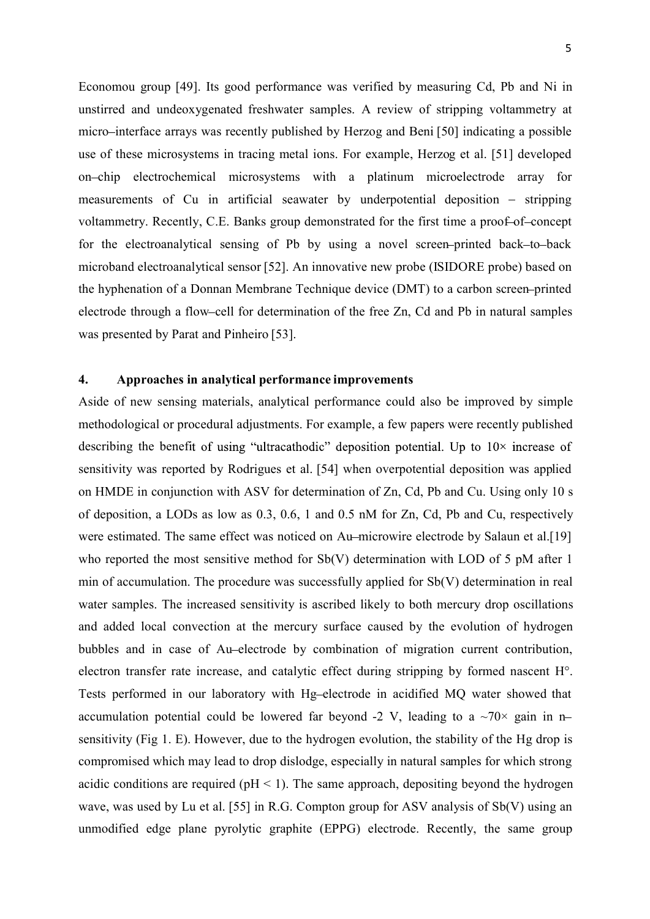Economou group [49]. Its good performance was verified by measuring Cd, Pb and Ni in unstirred and undeoxygenated freshwater samples. A review of stripping voltammetry at micro–interface arrays was recently published by Herzog and Beni [50] indicating a possible use of these microsystems in tracing metal ions. For example, Herzog et al. [51] developed on chip electrochemical microsystems with a platinum microelectrode array for measurements of  $Cu$  in artificial seawater by underpotential deposition  $-$  stripping voltammetry. Recently, C.E. Banks group demonstrated for the first time a proof-of-concept for the electroanalytical sensing of Pb by using a novel screen printed back to back microband electroanalytical sensor [52]. An innovative new probe (ISIDORE probe) based on the hyphenation of a Donnan Membrane Technique device (DMT) to a carbon screen printed electrode through a flow-cell for determination of the free Zn, Cd and Pb in natural samples was presented by Parat and Pinheiro [53].

# 4. Approaches in analytical performance improvements

Aside of new sensing materials, analytical performance could also be improved by simple methodological or procedural adjustments. For example, a few papers were recently published describing the benefit of using "ultracathodic" deposition potential. Up to  $10\times$  increase of sensitivity was reported by Rodrigues et al. [54] when overpotential deposition was applied on HMDE in conjunction with ASV for determination of Zn, Cd, Pb and Cu. Using only 10 s of deposition, a LODs as low as 0.3, 0.6, 1 and 0.5 nM for Zn, Cd, Pb and Cu, respectively were estimated. The same effect was noticed on Au-microwire electrode by Salaun et al.[19] who reported the most sensitive method for Sb(V) determination with LOD of 5 pM after 1 min of accumulation. The procedure was successfully applied for Sb(V) determination in real water samples. The increased sensitivity is ascribed likely to both mercury drop oscillations and added local convection at the mercury surface caused by the evolution of hydrogen bubbles and in case of Au electrode by combination of migration current contribution, electron transfer rate increase, and catalytic effect during stripping by formed nascent H°. Tests performed in our laboratory with Hg-electrode in acidified MQ water showed that accumulation potential could be lowered far beyond -2 V, leading to a  $\sim$ 70 $\times$  gain in nsensitivity (Fig 1. E). However, due to the hydrogen evolution, the stability of the Hg drop is compromised which may lead to drop dislodge, especially in natural samples for which strong acidic conditions are required ( $pH < 1$ ). The same approach, depositing beyond the hydrogen wave, was used by Lu et al. [55] in R.G. Compton group for ASV analysis of Sb(V) using an unmodified edge plane pyrolytic graphite (EPPG) electrode. Recently, the same group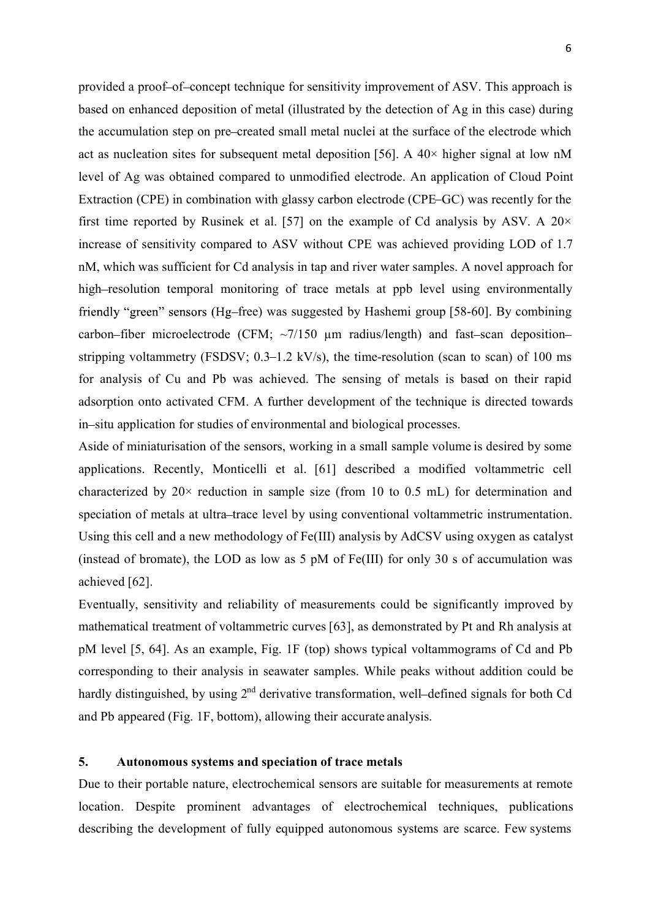provided a proof-of-concept technique for sensitivity improvement of ASV. This approach is based on enhanced deposition of metal (illustrated by the detection of Ag in this case) during the accumulation step on pre-created small metal nuclei at the surface of the electrode which act as nucleation sites for subsequent metal deposition [56]. A 40× higher signal at low nM level of Ag was obtained compared to unmodified electrode. An application of Cloud Point Extraction (CPE) in combination with glassy carbon electrode (CPE–GC) was recently for the first time reported by Rusinek et al. [57] on the example of Cd analysis by ASV. A  $20 \times$ increase of sensitivity compared to ASV without CPE was achieved providing LOD of 1.7 nM, which was sufficient for Cd analysis in tap and river water samples. A novel approach for high-resolution temporal monitoring of trace metals at ppb level using environmentally friendly "green" sensors (Hg–free) was suggested by Hashemi group [58-60]. By combining carbon-fiber microelectrode (CFM;  $\sim$ 7/150  $\mu$ m radius/length) and fast-scan depositionstripping voltammetry (FSDSV;  $0.3-1.2$  kV/s), the time-resolution (scan to scan) of 100 ms for analysis of Cu and Pb was achieved. The sensing of metals is based on their rapid adsorption onto activated CFM. A further development of the technique is directed towards in-situ application for studies of environmental and biological processes.

Aside of miniaturisation of the sensors, working in a small sample volume is desired by some applications. Recently, Monticelli et al. [61] described a modified voltammetric cell characterized by  $20 \times$  reduction in sample size (from 10 to 0.5 mL) for determination and speciation of metals at ultra–trace level by using conventional voltammetric instrumentation. Using this cell and a new methodology of Fe(III) analysis by AdCSV using oxygen as catalyst (instead of bromate), the LOD as low as 5 pM of Fe(III) for only 30 s of accumulation was achieved [62].

Eventually, sensitivity and reliability of measurements could be significantly improved by mathematical treatment of voltammetric curves [63], as demonstrated by Pt and Rh analysis at pM level [5, 64]. As an example, Fig. 1F (top) shows typical voltammograms of Cd and Pb corresponding to their analysis in seawater samples. While peaks without addition could be hardly distinguished, by using  $2<sup>nd</sup>$  derivative transformation, well-defined signals for both Cd and Pb appeared (Fig. 1F, bottom), allowing their accurate analysis.

# 5. Autonomous systems and speciation of trace metals

Due to their portable nature, electrochemical sensors are suitable for measurements at remote location. Despite prominent advantages of electrochemical techniques, publications describing the development of fully equipped autonomous systems are scarce. Few systems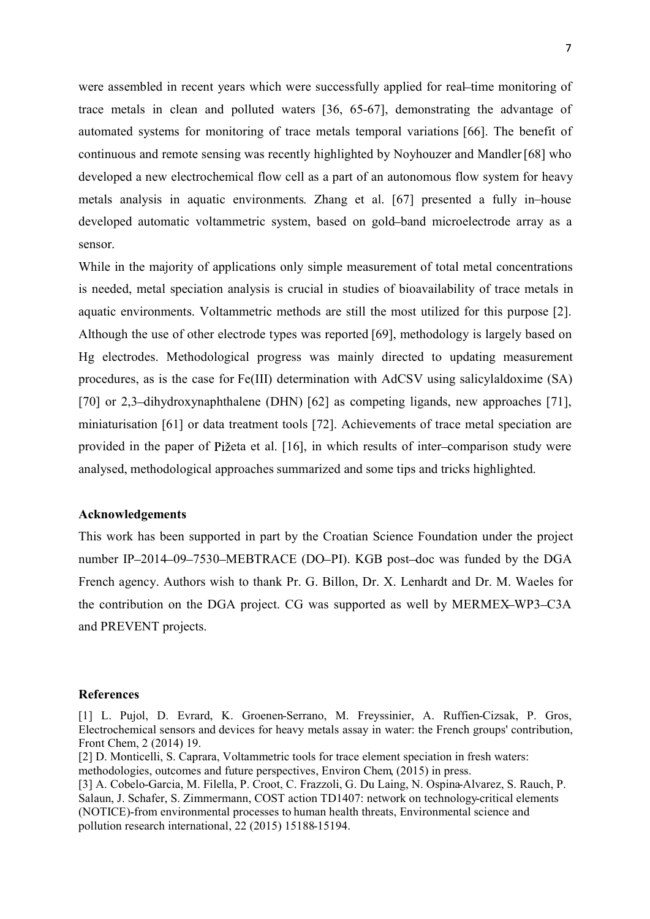were assembled in recent years which were successfully applied for real-time monitoring of trace metals in clean and polluted waters [36, 65-67], demonstrating the advantage of automated systems for monitoring of trace metals temporal variations [66]. The benefit of continuous and remote sensing was recently highlighted by Noyhouzer and Mandler [68] who developed a new electrochemical flow cell as a part of an autonomous flow system for heavy metals analysis in aquatic environments. Zhang et al. [67] presented a fully in house developed automatic voltammetric system, based on gold-band microelectrode array as a sensor.

While in the majority of applications only simple measurement of total metal concentrations is needed, metal speciation analysis is crucial in studies of bioavailability of trace metals in aquatic environments. Voltammetric methods are still the most utilized for this purpose [2]. Although the use of other electrode types was reported [69], methodology is largely based on Hg electrodes. Methodological progress was mainly directed to updating measurement procedures, as is the case for Fe(III) determination with AdCSV using salicylaldoxime (SA) [70] or 2,3-dihydroxynaphthalene (DHN) [62] as competing ligands, new approaches [71], miniaturisation [61] or data treatment tools [72]. Achievements of trace metal speciation are provided in the paper of Pižeta et al. [16], in which results of inter-comparison study were analysed, methodological approaches summarized and some tips and tricks highlighted.

## Acknowledgements

This work has been supported in part by the Croatian Science Foundation under the project number IP-2014-09-7530-MEBTRACE (DO-PI). KGB post-doc was funded by the DGA French agency. Authors wish to thank Pr. G. Billon, Dr. X. Lenhardt and Dr. M. Waeles for the contribution on the DGA project. CG was supported as well by MERMEX-WP3-C3A and PREVENT projects.

#### References

[2] D. Monticelli, S. Caprara, Voltammetric tools for trace element speciation in fresh waters: methodologies, outcomes and future perspectives, Environ Chem, (2015) in press.

[3] A. Cobelo-Garcia, M. Filella, P. Croot, C. Frazzoli, G. Du Laing, N. Ospina-Alvarez, S. Rauch, P. Salaun, J. Schafer, S. Zimmermann, COST action TD1407: network on technology-critical elements (NOTICE)-from environmental processes to human health threats, Environmental science and pollution research international, 22 (2015) 15188-15194.

<sup>[1]</sup> L. Pujol, D. Evrard, K. Groenen-Serrano, M. Freyssinier, A. Ruffien-Cizsak, P. Gros, Electrochemical sensors and devices for heavy metals assay in water: the French groups' contribution, Front Chem, 2 (2014) 19.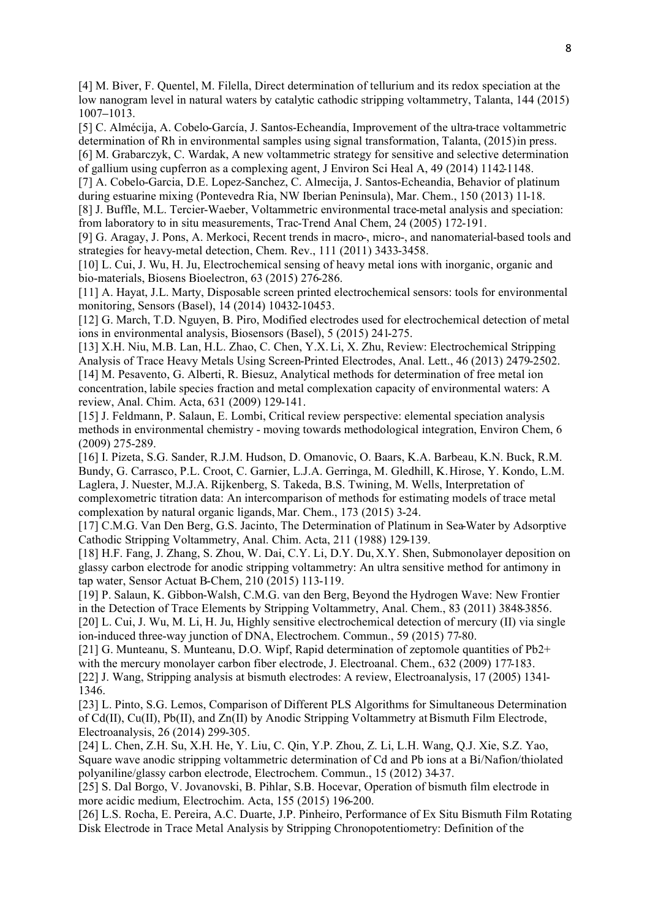[4] M. Biver, F. Quentel, M. Filella, Direct determination of tellurium and its redox speciation at the low nanogram level in natural waters by catalytic cathodic stripping voltammetry, Talanta, 144 (2015) 1007-1013.

[5] C. Almécija, A. Cobelo-García, J. Santos-Echeandía, Improvement of the ultra-trace voltammetric determination of Rh in environmental samples using signal transformation, Talanta, (2015) in press. [6] M. Grabarczyk, C. Wardak, A new voltammetric strategy for sensitive and selective determination of gallium using cupferron as a complexing agent, J Environ Sci Heal A, 49 (2014) 1142-1148.

[7] A. Cobelo-Garcia, D.E. Lopez-Sanchez, C. Almecija, J. Santos-Echeandia, Behavior of platinum during estuarine mixing (Pontevedra Ria, NW Iberian Peninsula), Mar. Chem., 150 (2013) 11-18.

[8] J. Buffle, M.L. Tercier-Waeber, Voltammetric environmental trace-metal analysis and speciation: from laboratory to in situ measurements, Trac-Trend Anal Chem, 24 (2005) 172-191.

[9] G. Aragay, J. Pons, A. Merkoci, Recent trends in macro-, micro-, and nanomaterial-based tools and strategies for heavy-metal detection, Chem. Rev., 111 (2011) 3433-3458.

[10] L. Cui, J. Wu, H. Ju, Electrochemical sensing of heavy metal ions with inorganic, organic and bio-materials, Biosens Bioelectron, 63 (2015) 276-286.

[11] A. Hayat, J.L. Marty, Disposable screen printed electrochemical sensors: tools for environmental monitoring, Sensors (Basel), 14 (2014) 10432-10453.

[12] G. March, T.D. Nguyen, B. Piro, Modified electrodes used for electrochemical detection of metal ions in environmental analysis, Biosensors (Basel), 5 (2015) 241-275.

[13] X.H. Niu, M.B. Lan, H.L. Zhao, C. Chen, Y.X. Li, X. Zhu, Review: Electrochemical Stripping Analysis of Trace Heavy Metals Using Screen-Printed Electrodes, Anal. Lett., 46 (2013) 2479-2502. [14] M. Pesavento, G. Alberti, R. Biesuz, Analytical methods for determination of free metal ion concentration, labile species fraction and metal complexation capacity of environmental waters: A review, Anal. Chim. Acta, 631 (2009) 129-141.

[15] J. Feldmann, P. Salaun, E. Lombi, Critical review perspective: elemental speciation analysis methods in environmental chemistry - moving towards methodological integration, Environ Chem, 6 (2009) 275-289.

[16] I. Pizeta, S.G. Sander, R.J.M. Hudson, D. Omanovic, O. Baars, K.A. Barbeau, K.N. Buck, R.M. Bundy, G. Carrasco, P.L. Croot, C. Garnier, L.J.A. Gerringa, M. Gledhill, K. Hirose, Y. Kondo, L.M. Laglera, J. Nuester, M.J.A. Rijkenberg, S. Takeda, B.S. Twining, M. Wells, Interpretation of complexometric titration data: An intercomparison of methods for estimating models of trace metal complexation by natural organic ligands, Mar. Chem., 173 (2015) 3-24.

[17] C.M.G. Van Den Berg, G.S. Jacinto, The Determination of Platinum in Sea-Water by Adsorptive Cathodic Stripping Voltammetry, Anal. Chim. Acta, 211 (1988) 129-139.

[18] H.F. Fang, J. Zhang, S. Zhou, W. Dai, C.Y. Li, D.Y. Du, X.Y. Shen, Submonolayer deposition on glassy carbon electrode for anodic stripping voltammetry: An ultra sensitive method for antimony in tap water, Sensor Actuat B-Chem, 210 (2015) 113-119.

[19] P. Salaun, K. Gibbon-Walsh, C.M.G. van den Berg, Beyond the Hydrogen Wave: New Frontier in the Detection of Trace Elements by Stripping Voltammetry, Anal. Chem., 83 (2011) 3848-3856. [20] L. Cui, J. Wu, M. Li, H. Ju, Highly sensitive electrochemical detection of mercury (II) via single ion-induced three-way junction of DNA, Electrochem. Commun., 59 (2015) 77-80.

[21] G. Munteanu, S. Munteanu, D.O. Wipf, Rapid determination of zeptomole quantities of Pb2+ with the mercury monolayer carbon fiber electrode, J. Electroanal. Chem., 632 (2009) 177-183. [22] J. Wang, Stripping analysis at bismuth electrodes: A review, Electroanalysis, 17 (2005) 1341- 1346.

[23] L. Pinto, S.G. Lemos, Comparison of Different PLS Algorithms for Simultaneous Determination of Cd(II), Cu(II), Pb(II), and Zn(II) by Anodic Stripping Voltammetry at Bismuth Film Electrode, Electroanalysis, 26 (2014) 299-305.

[24] L. Chen, Z.H. Su, X.H. He, Y. Liu, C. Qin, Y.P. Zhou, Z. Li, L.H. Wang, Q.J. Xie, S.Z. Yao, Square wave anodic stripping voltammetric determination of Cd and Pb ions at a Bi/Nafion/thiolated polyaniline/glassy carbon electrode, Electrochem. Commun., 15 (2012) 34-37.

[25] S. Dal Borgo, V. Jovanovski, B. Pihlar, S.B. Hocevar, Operation of bismuth film electrode in more acidic medium, Electrochim. Acta, 155 (2015) 196-200.

[26] L.S. Rocha, E. Pereira, A.C. Duarte, J.P. Pinheiro, Performance of Ex Situ Bismuth Film Rotating Disk Electrode in Trace Metal Analysis by Stripping Chronopotentiometry: Definition of the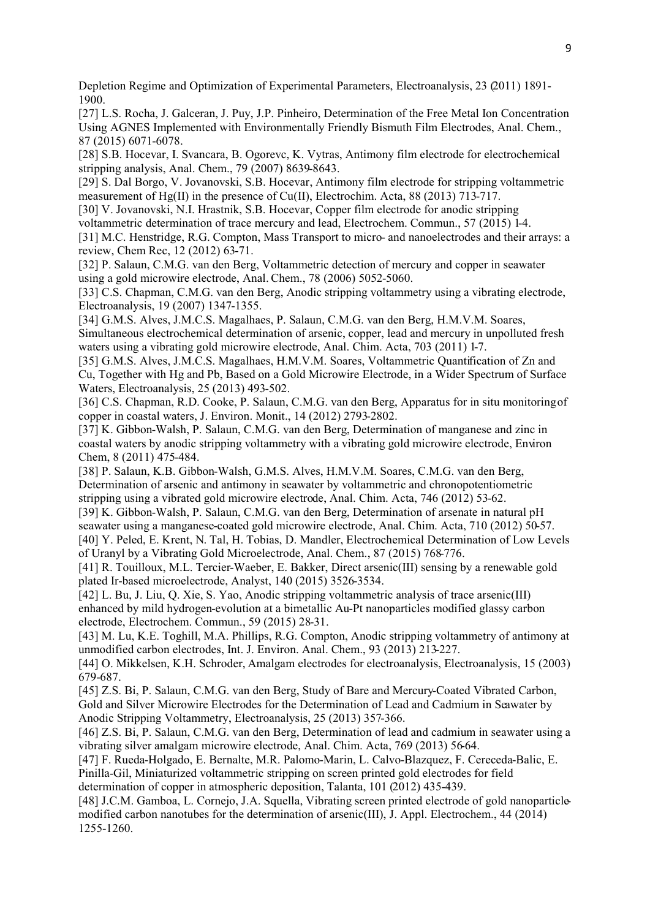Depletion Regime and Optimization of Experimental Parameters, Electroanalysis, 23 (2011) 1891- 1900.

[27] L.S. Rocha, J. Galceran, J. Puy, J.P. Pinheiro, Determination of the Free Metal Ion Concentration Using AGNES Implemented with Environmentally Friendly Bismuth Film Electrodes, Anal. Chem., 87 (2015) 6071-6078.

[28] S.B. Hocevar, I. Svancara, B. Ogorevc, K. Vytras, Antimony film electrode for electrochemical stripping analysis, Anal. Chem., 79 (2007) 8639-8643.

[29] S. Dal Borgo, V. Jovanovski, S.B. Hocevar, Antimony film electrode for stripping voltammetric measurement of Hg(II) in the presence of Cu(II), Electrochim. Acta, 88 (2013) 713-717.

[30] V. Jovanovski, N.I. Hrastnik, S.B. Hocevar, Copper film electrode for anodic stripping

voltammetric determination of trace mercury and lead, Electrochem. Commun., 57 (2015) 1-4.

[31] M.C. Henstridge, R.G. Compton, Mass Transport to micro- and nanoelectrodes and their arrays: a review, Chem Rec, 12 (2012) 63-71.

[32] P. Salaun, C.M.G. van den Berg, Voltammetric detection of mercury and copper in seawater using a gold microwire electrode, Anal. Chem., 78 (2006) 5052-5060.

[33] C.S. Chapman, C.M.G. van den Berg, Anodic stripping voltammetry using a vibrating electrode, Electroanalysis, 19 (2007) 1347-1355.

[34] G.M.S. Alves, J.M.C.S. Magalhaes, P. Salaun, C.M.G. van den Berg, H.M.V.M. Soares, Simultaneous electrochemical determination of arsenic, copper, lead and mercury in unpolluted fresh waters using a vibrating gold microwire electrode, Anal. Chim. Acta, 703 (2011) 1-7.

[35] G.M.S. Alves, J.M.C.S. Magalhaes, H.M.V.M. Soares, Voltammetric Quantification of Zn and Cu, Together with Hg and Pb, Based on a Gold Microwire Electrode, in a Wider Spectrum of Surface Waters, Electroanalysis, 25 (2013) 493-502.

[36] C.S. Chapman, R.D. Cooke, P. Salaun, C.M.G. van den Berg, Apparatus for in situ monitoring of copper in coastal waters, J. Environ. Monit., 14 (2012) 2793-2802.

[37] K. Gibbon-Walsh, P. Salaun, C.M.G. van den Berg, Determination of manganese and zinc in coastal waters by anodic stripping voltammetry with a vibrating gold microwire electrode, Environ Chem, 8 (2011) 475-484.

[38] P. Salaun, K.B. Gibbon-Walsh, G.M.S. Alves, H.M.V.M. Soares, C.M.G. van den Berg, Determination of arsenic and antimony in seawater by voltammetric and chronopotentiometric stripping using a vibrated gold microwire electrode, Anal. Chim. Acta, 746 (2012) 53-62.

[39] K. Gibbon-Walsh, P. Salaun, C.M.G. van den Berg, Determination of arsenate in natural pH seawater using a manganese-coated gold microwire electrode, Anal. Chim. Acta, 710 (2012) 50-57.

[40] Y. Peled, E. Krent, N. Tal, H. Tobias, D. Mandler, Electrochemical Determination of Low Levels of Uranyl by a Vibrating Gold Microelectrode, Anal. Chem., 87 (2015) 768-776.

[41] R. Touilloux, M.L. Tercier-Waeber, E. Bakker, Direct arsenic(III) sensing by a renewable gold plated Ir-based microelectrode, Analyst, 140 (2015) 3526-3534.

[42] L. Bu, J. Liu, Q. Xie, S. Yao, Anodic stripping voltammetric analysis of trace arsenic(III) enhanced by mild hydrogen-evolution at a bimetallic Au-Pt nanoparticles modified glassy carbon electrode, Electrochem. Commun., 59 (2015) 28-31.

[43] M. Lu, K.E. Toghill, M.A. Phillips, R.G. Compton, Anodic stripping voltammetry of antimony at unmodified carbon electrodes, Int. J. Environ. Anal. Chem., 93 (2013) 213-227.

[44] O. Mikkelsen, K.H. Schroder, Amalgam electrodes for electroanalysis, Electroanalysis, 15 (2003) 679-687.

[45] Z.S. Bi, P. Salaun, C.M.G. van den Berg, Study of Bare and Mercury-Coated Vibrated Carbon, Gold and Silver Microwire Electrodes for the Determination of Lead and Cadmium in Seawater by Anodic Stripping Voltammetry, Electroanalysis, 25 (2013) 357-366.

[46] Z.S. Bi, P. Salaun, C.M.G. van den Berg, Determination of lead and cadmium in seawater using a vibrating silver amalgam microwire electrode, Anal. Chim. Acta, 769 (2013) 56-64.

[47] F. Rueda-Holgado, E. Bernalte, M.R. Palomo-Marin, L. Calvo-Blazquez, F. Cereceda-Balic, E. Pinilla-Gil, Miniaturized voltammetric stripping on screen printed gold electrodes for field determination of copper in atmospheric deposition, Talanta, 101 (2012) 435-439.

[48] J.C.M. Gamboa, L. Cornejo, J.A. Squella, Vibrating screen printed electrode of gold nanoparticlemodified carbon nanotubes for the determination of arsenic(III), J. Appl. Electrochem., 44 (2014) 1255-1260.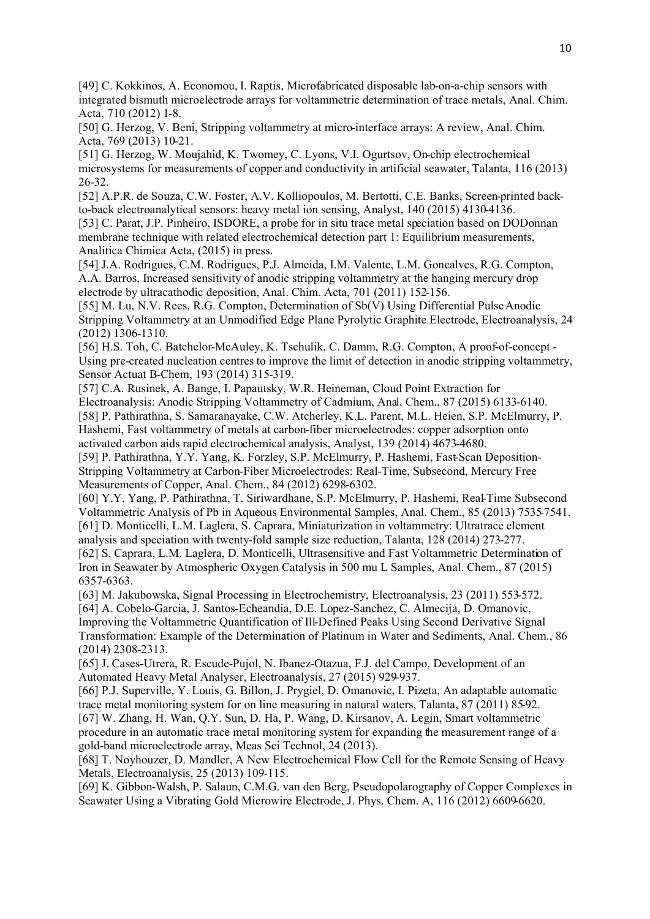[49] C. Kokkinos, A. Economou, I. Raptis, Microfabricated disposable lab-on-a-chip sensors with integrated bismuth microelectrode arrays for voltammetric determination of trace metals, Anal. Chim. Acta, 710 (2012) 1-8.

[50] G. Herzog, V. Beni, Stripping voltammetry at micro-interface arrays: A review, Anal. Chim. Acta, 769 (2013) 10-21.

[51] G. Herzog, W. Moujahid, K. Twomey, C. Lyons, V.I. Ogurtsov, On-chip electrochemical microsystems for measurements of copper and conductivity in artificial seawater, Talanta, 116 (2013) 26-32.

[52] A.P.R. de Souza, C.W. Foster, A.V. Kolliopoulos, M. Bertotti, C.E. Banks, Screen-printed backto-back electroanalytical sensors: heavy metal ion sensing, Analyst, 140 (2015) 4130-4136.

[53] C. Parat, J.P. Pinheiro, ISDORE, a probe for in situ trace metal speciation based on DODonnan membrane technique with related electrochemical detection part 1: Equilibrium measurements, Analitica Chimica Acta, (2015) in press.

[54] J.A. Rodrigues, C.M. Rodrigues, P.J. Almeida, I.M. Valente, L.M. Goncalves, R.G. Compton, A.A. Barros, Increased sensitivity of anodic stripping voltammetry at the hanging mercury drop electrode by ultracathodic deposition, Anal. Chim. Acta, 701 (2011) 152-156.

[55] M. Lu, N.V. Rees, R.G. Compton, Determination of Sb(V) Using Differential Pulse Anodic Stripping Voltammetry at an Unmodified Edge Plane Pyrolytic Graphite Electrode, Electroanalysis, 24 (2012) 1306-1310.

[56] H.S. Toh, C. Batchelor-McAuley, K. Tschulik, C. Damm, R.G. Compton, A proof-of-concept -Using pre-created nucleation centres to improve the limit of detection in anodic stripping voltammetry, Sensor Actuat B-Chem, 193 (2014) 315-319.

[57] C.A. Rusinek, A. Bange, I. Papautsky, W.R. Heineman, Cloud Point Extraction for Electroanalysis: Anodic Stripping Voltammetry of Cadmium, Anal. Chem., 87 (2015) 6133-6140. [58] P. Pathirathna, S. Samaranayake, C.W. Atcherley, K.L. Parent, M.L. Heien, S.P. McElmurry, P.

Hashemi, Fast voltammetry of metals at carbon-fiber microelectrodes: copper adsorption onto activated carbon aids rapid electrochemical analysis, Analyst, 139 (2014) 4673-4680.

[59] P. Pathirathna, Y.Y. Yang, K. Forzley, S.P. McElmurry, P. Hashemi, Fast-Scan Deposition-Stripping Voltammetry at Carbon-Fiber Microelectrodes: Real-Time, Subsecond, Mercury Free Measurements of Copper, Anal. Chem., 84 (2012) 6298-6302.

[60] Y.Y. Yang, P. Pathirathna, T. Siriwardhane, S.P. McElmurry, P. Hashemi, Real-Time Subsecond Voltammetric Analysis of Pb in Aqueous Environmental Samples, Anal. Chem., 85 (2013) 7535-7541. [61] D. Monticelli, L.M. Laglera, S. Caprara, Miniaturization in voltammetry: Ultratrace element analysis and speciation with twenty-fold sample size reduction, Talanta, 128 (2014) 273-277.

[62] S. Caprara, L.M. Laglera, D. Monticelli, Ultrasensitive and Fast Voltammetric Determination of Iron in Seawater by Atmospheric Oxygen Catalysis in 500 mu L Samples, Anal. Chem., 87 (2015) 6357-6363.

[63] M. Jakubowska, Signal Processing in Electrochemistry, Electroanalysis, 23 (2011) 553-572.

[64] A. Cobelo-Garcia, J. Santos-Echeandia, D.E. Lopez-Sanchez, C. Almecija, D. Omanovic, Improving the Voltammetric Quantification of Ill-Defined Peaks Using Second Derivative Signal Transformation: Example of the Determination of Platinum in Water and Sediments, Anal. Chem., 86 (2014) 2308-2313.

[65] J. Cases-Utrera, R. Escude-Pujol, N. Ibanez-Otazua, F.J. del Campo, Development of an Automated Heavy Metal Analyser, Electroanalysis, 27 (2015) 929-937.

[66] P.J. Superville, Y. Louis, G. Billon, J. Prygiel, D. Omanovic, I. Pizeta, An adaptable automatic trace metal monitoring system for on line measuring in natural waters, Talanta, 87 (2011) 85-92. [67] W. Zhang, H. Wan, Q.Y. Sun, D. Ha, P. Wang, D. Kirsanov, A. Legin, Smart voltammetric procedure in an automatic trace metal monitoring system for expanding the measurement range of a

gold-band microelectrode array, Meas Sci Technol, 24 (2013). [68] T. Noyhouzer, D. Mandler, A New Electrochemical Flow Cell for the Remote Sensing of Heavy Metals, Electroanalysis, 25 (2013) 109-115.

[69] K. Gibbon-Walsh, P. Salaun, C.M.G. van den Berg, Pseudopolarography of Copper Complexes in Seawater Using a Vibrating Gold Microwire Electrode, J. Phys. Chem. A, 116 (2012) 6609-6620.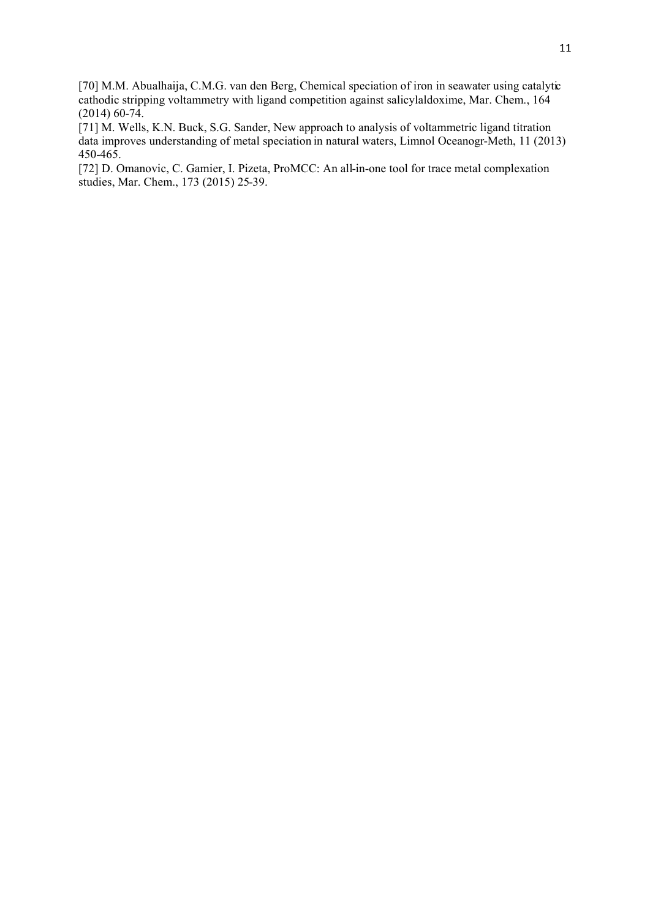[70] M.M. Abualhaija, C.M.G. van den Berg, Chemical speciation of iron in seawater using catalytic cathodic stripping voltammetry with ligand competition against salicylaldoxime, Mar. Chem., 164 (2014) 60-74.

[71] M. Wells, K.N. Buck, S.G. Sander, New approach to analysis of voltammetric ligand titration data improves understanding of metal speciation in natural waters, Limnol Oceanogr-Meth, 11 (2013) 450-465.

[72] D. Omanovic, C. Gamier, I. Pizeta, ProMCC: An all-in-one tool for trace metal complexation studies, Mar. Chem., 173 (2015) 25-39.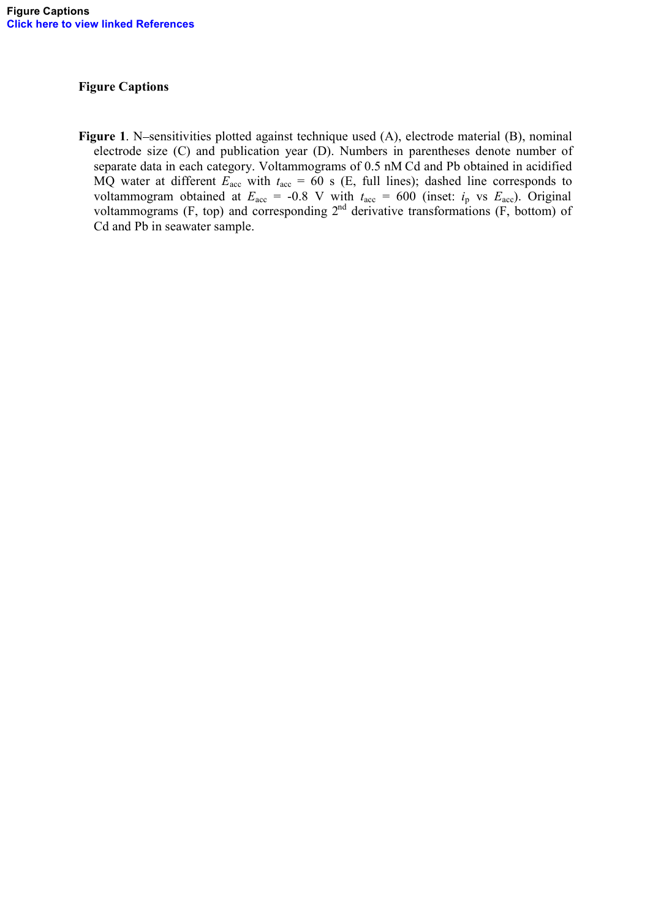# Figure Captions

Figure 1. N-sensitivities plotted against technique used (A), electrode material (B), nominal electrode size (C) and publication year (D). Numbers in parentheses denote number of separate data in each category. Voltammograms of 0.5 nM Cd and Pb obtained in acidified MQ water at different  $E_{\text{acc}}$  with  $t_{\text{acc}} = 60$  s (E, full lines); dashed line corresponds to voltammogram obtained at  $E_{\text{acc}} = -0.8$  V with  $t_{\text{acc}} = 600$  (inset:  $i_{\text{p}}$  vs  $E_{\text{acc}}$ ). Original voltammograms (F, top) and corresponding  $2<sup>nd</sup>$  derivative transformations (F, bottom) of Cd and Pb in seawater sample.